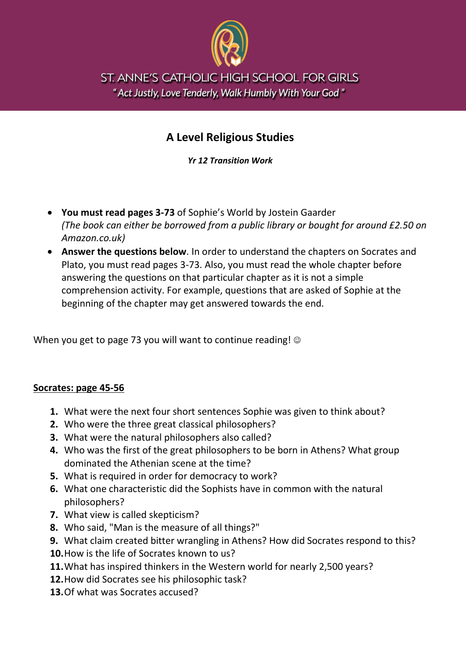

ST. ANNE'S CATHOLIC HIGH SCHOOL FOR GIRLS " Act Justly, Love Tenderly, Walk Humbly With Your God"

## **A Level Religious Studies**

*Yr 12 Transition Work*

- **You must read pages 3-73** of Sophie's World by Jostein Gaarder *(The book can either be borrowed from a public library or bought for around £2.50 on Amazon.co.uk)*
- **Answer the questions below**. In order to understand the chapters on Socrates and Plato, you must read pages 3-73. Also, you must read the whole chapter before answering the questions on that particular chapter as it is not a simple comprehension activity. For example, questions that are asked of Sophie at the beginning of the chapter may get answered towards the end.

When you get to page 73 you will want to continue reading!  $\circledcirc$ 

## **Socrates: page 45-56**

- **1.** What were the next four short sentences Sophie was given to think about?
- **2.** Who were the three great classical philosophers?
- **3.** What were the natural philosophers also called?
- **4.** Who was the first of the great philosophers to be born in Athens? What group dominated the Athenian scene at the time?
- **5.** What is required in order for democracy to work?
- **6.** What one characteristic did the Sophists have in common with the natural philosophers?
- **7.** What view is called skepticism?
- **8.** Who said, "Man is the measure of all things?"
- **9.** What claim created bitter wrangling in Athens? How did Socrates respond to this?
- **10.**How is the life of Socrates known to us?
- **11.**What has inspired thinkers in the Western world for nearly 2,500 years?
- **12.**How did Socrates see his philosophic task?
- **13.**Of what was Socrates accused?